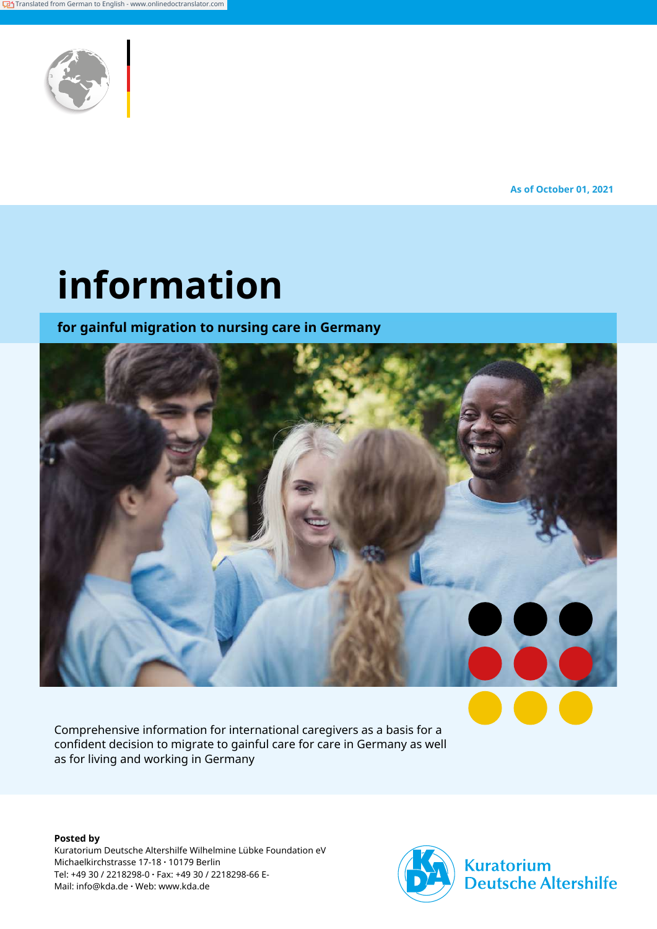

**As of October 01, 2021**

# **information**

**for gainful migration to nursing care in Germany**



Comprehensive information for international caregivers as a basis for a confident decision to migrate to gainful care for care in Germany as well as for living and working in Germany

**Posted by** Kuratorium Deutsche Altershilfe Wilhelmine Lübke Foundation eV Michaelkirchstrasse 17-18 **·** 10179 Berlin Tel: +49 30 / 2218298-0 **·** Fax: +49 30 / 2218298-66 E-Mail: info@kda.de **·** Web: www.kda.de



**Kuratorium Deutsche Altershilfe**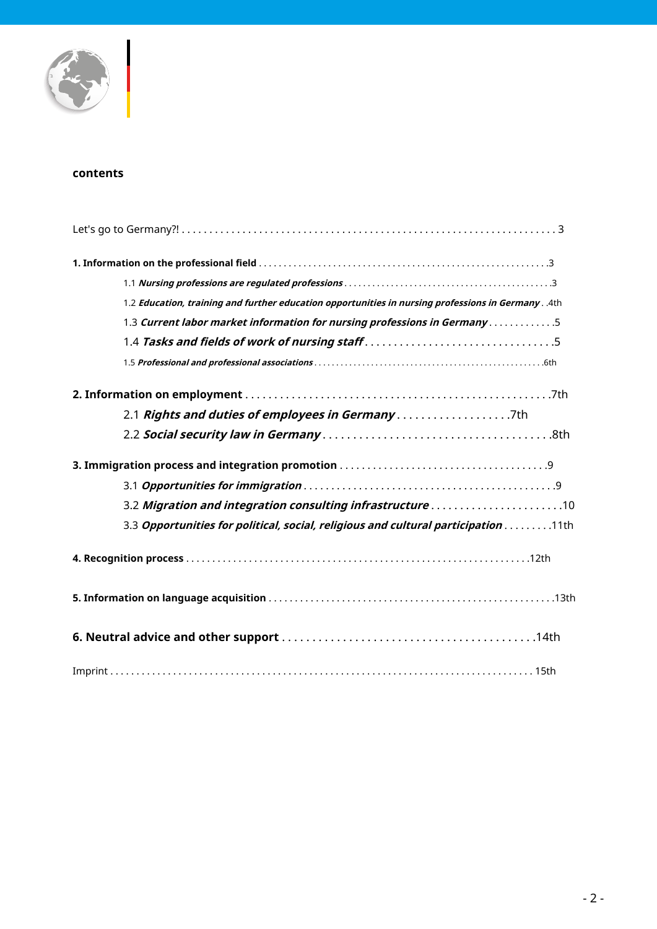

#### **contents**

| 1.2. Education, training and further education opportunities in nursing professions in Germany 4th |
|----------------------------------------------------------------------------------------------------|
| 1.3 Current labor market information for nursing professions in Germany 5                          |
|                                                                                                    |
|                                                                                                    |
|                                                                                                    |
| 2.1 Rights and duties of employees in Germany7th                                                   |
|                                                                                                    |
|                                                                                                    |
|                                                                                                    |
|                                                                                                    |
| 3.3 Opportunities for political, social, religious and cultural participation 11th                 |
|                                                                                                    |
|                                                                                                    |
|                                                                                                    |
|                                                                                                    |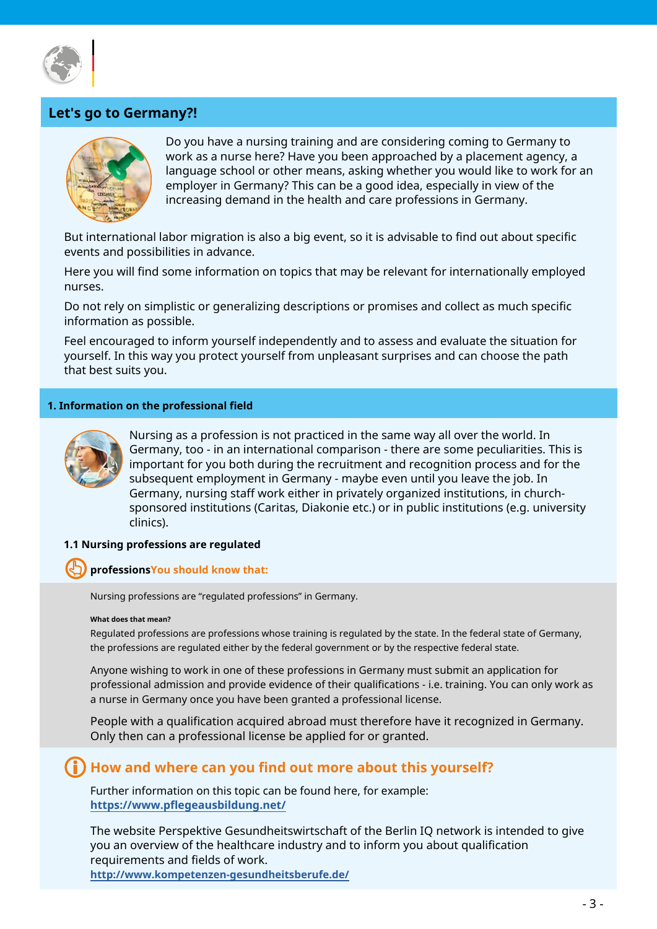

## **Let's go to Germany?!**



Do you have a nursing training and are considering coming to Germany to work as a nurse here? Have you been approached by a placement agency, a language school or other means, asking whether you would like to work for an employer in Germany? This can be a good idea, especially in view of the increasing demand in the health and care professions in Germany.

But international labor migration is also a big event, so it is advisable to find out about specific events and possibilities in advance.

Here you will find some information on topics that may be relevant for internationally employed nurses.

Do not rely on simplistic or generalizing descriptions or promises and collect as much specific information as possible.

Feel encouraged to inform yourself independently and to assess and evaluate the situation for yourself. In this way you protect yourself from unpleasant surprises and can choose the path that best suits you.

#### **1. Information on the professional field**



Nursing as a profession is not practiced in the same way all over the world. In Germany, too - in an international comparison - there are some peculiarities. This is important for you both during the recruitment and recognition process and for the subsequent employment in Germany - maybe even until you leave the job. In Germany, nursing staff work either in privately organized institutions, in churchsponsored institutions (Caritas, Diakonie etc.) or in public institutions (e.g. university clinics).

#### **1.1 Nursing professions are regulated**

#### **professionsYou should know that:**

Nursing professions are "regulated professions" in Germany.

#### **What does that mean?**

Regulated professions are professions whose training is regulated by the state. In the federal state of Germany, the professions are regulated either by the federal government or by the respective federal state.

Anyone wishing to work in one of these professions in Germany must submit an application for professional admission and provide evidence of their qualifications - i.e. training. You can only work as a nurse in Germany once you have been granted a professional license.

People with a qualification acquired abroad must therefore have it recognized in Germany. Only then can a professional license be applied for or granted.

## **How and where can you find out more about this yourself?**

Further information on this topic can be found here, for example: **<https://www.pflegeausbildung.net/>**

The website Perspektive Gesundheitswirtschaft of the Berlin IQ network is intended to give you an overview of the healthcare industry and to inform you about qualification requirements and fields of work. **<http://www.kompetenzen-gesundheitsberufe.de/>**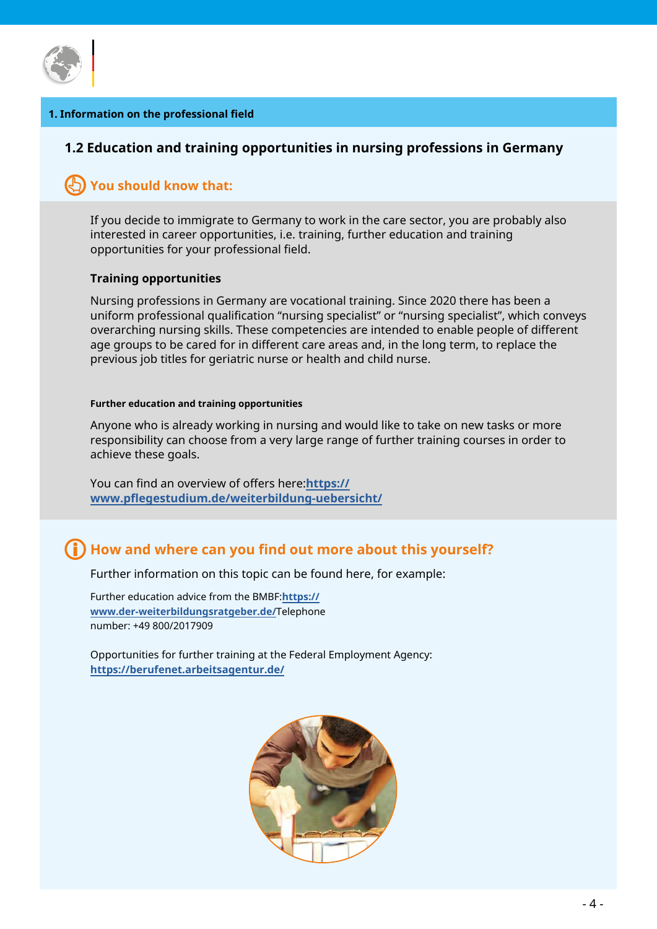

#### **1. Information on the professional field**

#### **1.2 Education and training opportunities in nursing professions in Germany**

## **You should know that:**

If you decide to immigrate to Germany to work in the care sector, you are probably also interested in career opportunities, i.e. training, further education and training opportunities for your professional field.

#### **Training opportunities**

Nursing professions in Germany are vocational training. Since 2020 there has been a uniform professional qualification "nursing specialist" or "nursing specialist", which conveys overarching nursing skills. These competencies are intended to enable people of different age groups to be cared for in different care areas and, in the long term, to replace the previous job titles for geriatric nurse or health and child nurse.

#### **Further education and training opportunities**

Anyone who is already working in nursing and would like to take on new tasks or more responsibility can choose from a very large range of further training courses in order to achieve these goals.

You can find an overview of offers here:**https:// [www.pflegestudium.de/weiterbildung-uebersicht/](https://www.pflegestudium.de/weiterbildungen-uebersicht/ )**

# **How and where can you find out more about this yourself?**

Further information on this topic can be found here, for example:

Further education advice from the BMBF:**https:// [www.der-weiterbildungsratgeber.de/](https://www.der-weiterbildungsratgeber.de/weiterbildungsratgeber/de/home/home_node.html)**Telephone number: +49 800/2017909

Opportunities for further training at the Federal Employment Agency: **[https://berufenet.arbeitsagentur.de/](https://berufenet.arbeitsagentur.de/berufenet/faces/index;BERUFENETJSESSIONID=aoumQbQD-tfrXpoNJqOcpW)**

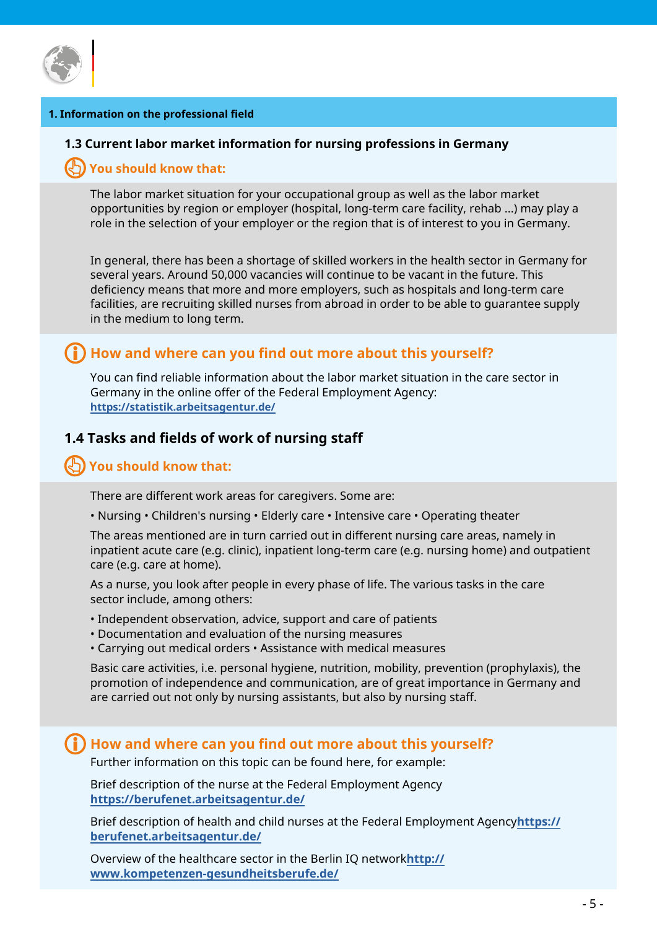

#### **1. Information on the professional field**

#### **1.3 Current labor market information for nursing professions in Germany**

#### **You should know that:**

The labor market situation for your occupational group as well as the labor market opportunities by region or employer (hospital, long-term care facility, rehab ...) may play a role in the selection of your employer or the region that is of interest to you in Germany.

In general, there has been a shortage of skilled workers in the health sector in Germany for several years. Around 50,000 vacancies will continue to be vacant in the future. This deficiency means that more and more employers, such as hospitals and long-term care facilities, are recruiting skilled nurses from abroad in order to be able to guarantee supply in the medium to long term.

## **How and where can you find out more about this yourself?**

You can find reliable information about the labor market situation in the care sector in Germany in the online offer of the Federal Employment Agency: **[https://statistik.arbeitsagentur.de/](https://statistik.arbeitsagentur.de/DE/Navigation/Statistiken/Interaktive-Angebote/Berufe-auf-einen-)**

## **1.4 Tasks and fields of work of nursing staff**

## **You should know that:**

There are different work areas for caregivers. Some are:

• Nursing • Children's nursing • Elderly care • Intensive care • Operating theater

The areas mentioned are in turn carried out in different nursing care areas, namely in inpatient acute care (e.g. clinic), inpatient long-term care (e.g. nursing home) and outpatient care (e.g. care at home).

As a nurse, you look after people in every phase of life. The various tasks in the care sector include, among others:

- Independent observation, advice, support and care of patients
- Documentation and evaluation of the nursing measures
- Carrying out medical orders Assistance with medical measures

Basic care activities, i.e. personal hygiene, nutrition, mobility, prevention (prophylaxis), the promotion of independence and communication, are of great importance in Germany and are carried out not only by nursing assistants, but also by nursing staff.

#### **How and where can you find out more about this yourself?**

Further information on this topic can be found here, for example:

Brief description of the nurse at the Federal Employment Agency **[https://berufenet.arbeitsagentur.de](https://berufenet.arbeitsagentur.de/berufenet/faces/index?path=null/suchergebnisse/kurzbeschreibung&)/**

Brief description of health and child nurses at the Federal Employment Agency**https:// [berufenet.arbeitsagentur.de/](https://berufenet.arbeitsagentur.de/berufenet/faces/index?path=null/suchergebnisse/kurzbeschreibung&)**

Overview of the healthcare sector in the Berlin IQ network**http:// [www.kompetenzen-gesundheitsberufe.de/](http://www.kompetenzen-gesundheitsberufe.de/)**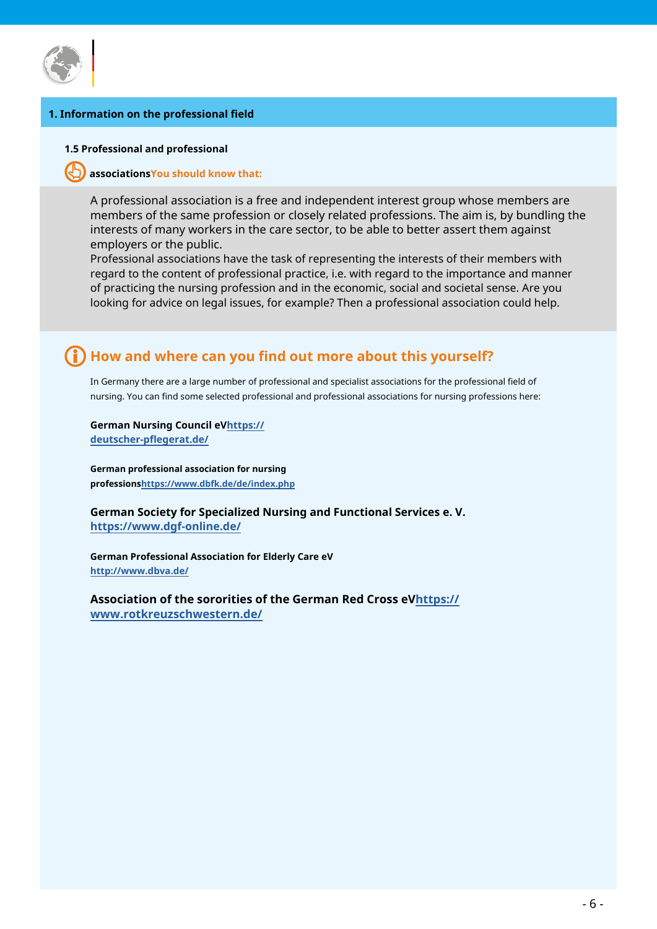

#### **1. Information on the professional field**

#### **1.5 Professional and professional**

#### **associationsYou should know that:**

A professional association is a free and independent interest group whose members are members of the same profession or closely related professions. The aim is, by bundling the interests of many workers in the care sector, to be able to better assert them against employers or the public.

Professional associations have the task of representing the interests of their members with regard to the content of professional practice, i.e. with regard to the importance and manner of practicing the nursing profession and in the economic, social and societal sense. Are you looking for advice on legal issues, for example? Then a professional association could help.

# **How and where can you find out more about this yourself?**

In Germany there are a large number of professional and specialist associations for the professional field of nursing. You can find some selected professional and professional associations for nursing professions here:

**German Nursing Council eVhttps:// [deutscher-pflegerat.de/](https://deutscher-pflegerat.de/verband/mitgliedsverbaende/ )**

**German professional association for nursing [professionshttps://www.dbfk.de/de/index.ph](https://www.dbfk.de/de/index.php )p**

**German Society for Specialized Nursing and Functional Services e. V. [https://www.dgf-online.de/](https://www.dgf-online.de/   )**

**German Professional Association for Elderly Care eV [http://www.dbva.de/](http://www.dbva.de/  )**

**Association of the sororities of the German Red Cross eVhttps:// [www.rotkreuzschwestern.de/](https://www.rotkreuzschwestern.de/ueber-uns/fachverband-fuer-professionelle-pflege  )**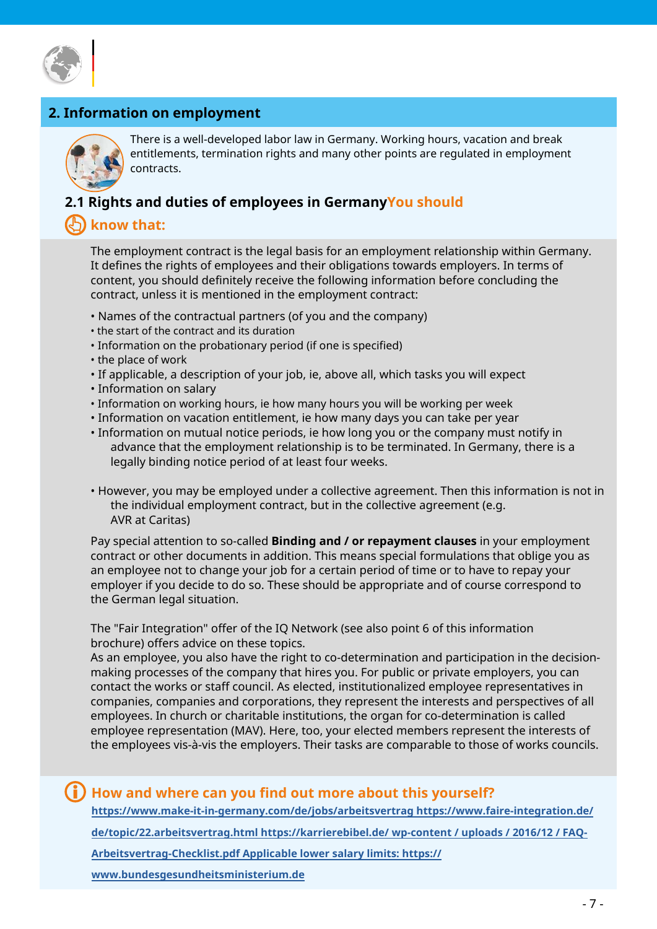

# **2. Information on employment**



There is a well-developed labor law in Germany. Working hours, vacation and break entitlements, termination rights and many other points are regulated in employment contracts.

## **2.1 Rights and duties of employees in GermanyYou should**

# **know that:**

The employment contract is the legal basis for an employment relationship within Germany. It defines the rights of employees and their obligations towards employers. In terms of content, you should definitely receive the following information before concluding the contract, unless it is mentioned in the employment contract:

- Names of the contractual partners (of you and the company)
- the start of the contract and its duration
- Information on the probationary period (if one is specified)
- the place of work
- If applicable, a description of your job, ie, above all, which tasks you will expect
- Information on salary
- Information on working hours, ie how many hours you will be working per week
- Information on vacation entitlement, ie how many days you can take per year
- Information on mutual notice periods, ie how long you or the company must notify in advance that the employment relationship is to be terminated. In Germany, there is a legally binding notice period of at least four weeks.
- However, you may be employed under a collective agreement. Then this information is not in the individual employment contract, but in the collective agreement (e.g. AVR at Caritas)

Pay special attention to so-called **Binding and / or repayment clauses** in your employment contract or other documents in addition. This means special formulations that oblige you as an employee not to change your job for a certain period of time or to have to repay your employer if you decide to do so. These should be appropriate and of course correspond to the German legal situation.

The "Fair Integration" offer of the IQ Network (see also point 6 of this information brochure) offers advice on these topics.

As an employee, you also have the right to co-determination and participation in the decisionmaking processes of the company that hires you. For public or private employers, you can contact the works or staff council. As elected, institutionalized employee representatives in companies, companies and corporations, they represent the interests and perspectives of all employees. In church or charitable institutions, the organ for co-determination is called employee representation (MAV). Here, too, your elected members represent the interests of the employees vis-à-vis the employers. Their tasks are comparable to those of works councils.

#### **How and where can you find out more about this yourself?**

**[https://www.make-it-in-germany.com/de/jobs/arbeitsvertrag http](https://www.make-it-in-germany.com/de/jobs/arbeitsvertrag )s://www.faire-integration.de/ [de/topic/22.arbeitsvertrag.html https://karrierebibel.de/ wp-content /](https://www.faire-integration.de/de/topic/22.arbeitsvertrag.html ) uploads / 2016/12 / FAQ-[Arbeitsvertrag-Checklist.pdf Applicable lower salary limits: https://]( https://karrierebibel.de/wp-content/uploads/2016/12/FAQ-Arbeitsvertrag-Checkliste.pdf )**

**[www.bundesgesundheitsministerium.de](https://www.bundesgesundheitsministerium.de/themen/pflege/pflegekraeft)**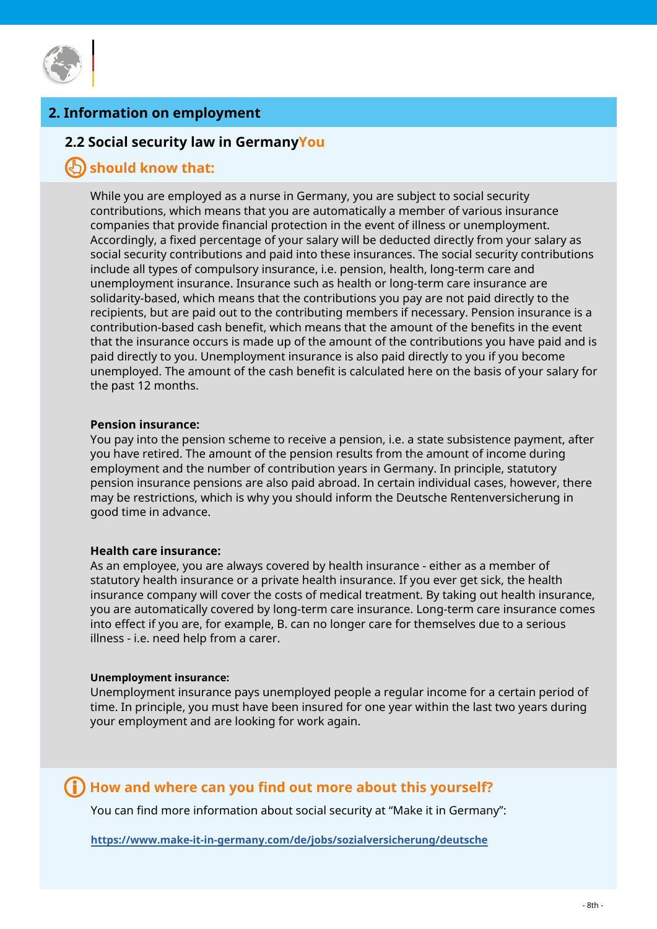

# **2. Information on employment**

#### **2.2 Social security law in GermanyYou**

## **should know that:**

While you are employed as a nurse in Germany, you are subject to social security contributions, which means that you are automatically a member of various insurance companies that provide financial protection in the event of illness or unemployment. Accordingly, a fixed percentage of your salary will be deducted directly from your salary as social security contributions and paid into these insurances. The social security contributions include all types of compulsory insurance, i.e. pension, health, long-term care and unemployment insurance. Insurance such as health or long-term care insurance are solidarity-based, which means that the contributions you pay are not paid directly to the recipients, but are paid out to the contributing members if necessary. Pension insurance is a contribution-based cash benefit, which means that the amount of the benefits in the event that the insurance occurs is made up of the amount of the contributions you have paid and is paid directly to you. Unemployment insurance is also paid directly to you if you become unemployed. The amount of the cash benefit is calculated here on the basis of your salary for the past 12 months.

#### **Pension insurance:**

You pay into the pension scheme to receive a pension, i.e. a state subsistence payment, after you have retired. The amount of the pension results from the amount of income during employment and the number of contribution years in Germany. In principle, statutory pension insurance pensions are also paid abroad. In certain individual cases, however, there may be restrictions, which is why you should inform the Deutsche Rentenversicherung in good time in advance.

#### **Health care insurance:**

As an employee, you are always covered by health insurance - either as a member of statutory health insurance or a private health insurance. If you ever get sick, the health insurance company will cover the costs of medical treatment. By taking out health insurance, you are automatically covered by long-term care insurance. Long-term care insurance comes into effect if you are, for example, B. can no longer care for themselves due to a serious illness - i.e. need help from a carer.

#### **Unemployment insurance:**

Unemployment insurance pays unemployed people a regular income for a certain period of time. In principle, you must have been insured for one year within the last two years during your employment and are looking for work again.

## **How and where can you find out more about this yourself?**

You can find more information about social security at "Make it in Germany":

**<https://www.make-it-in-germany.com/de/jobs/sozialversicherung/deutsche>**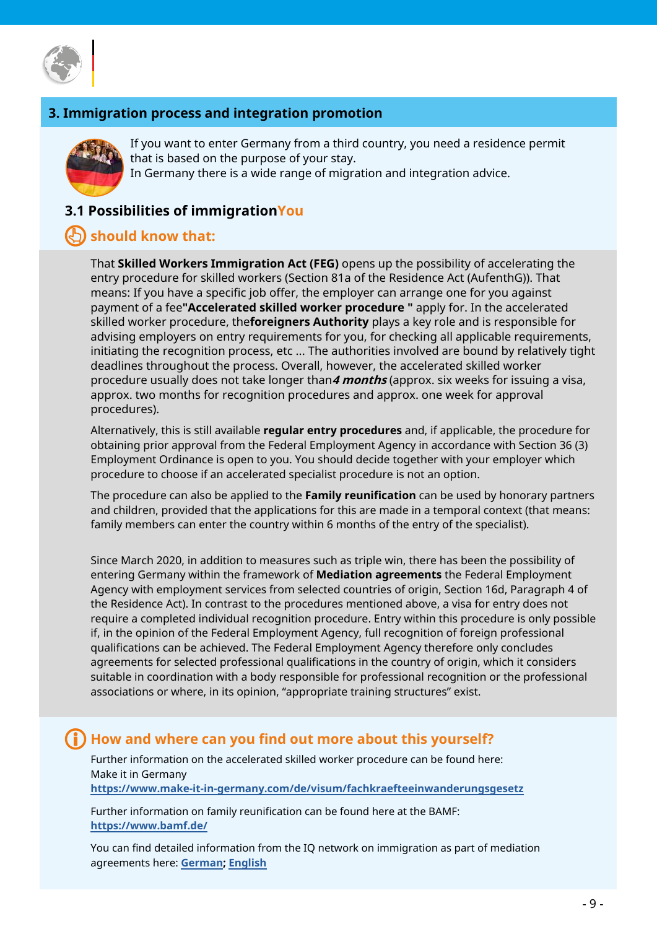

# **3. Immigration process and integration promotion**



If you want to enter Germany from a third country, you need a residence permit that is based on the purpose of your stay. In Germany there is a wide range of migration and integration advice.

# **3.1 Possibilities of immigrationYou**

# **should know that:**

That **Skilled Workers Immigration Act (FEG)** opens up the possibility of accelerating the entry procedure for skilled workers (Section 81a of the Residence Act (AufenthG)). That means: If you have a specific job offer, the employer can arrange one for you against payment of a fee**"Accelerated skilled worker procedure "** apply for. In the accelerated skilled worker procedure, the**foreigners Authority** plays a key role and is responsible for advising employers on entry requirements for you, for checking all applicable requirements, initiating the recognition process, etc ... The authorities involved are bound by relatively tight deadlines throughout the process. Overall, however, the accelerated skilled worker procedure usually does not take longer than**4 months** (approx. six weeks for issuing a visa, approx. two months for recognition procedures and approx. one week for approval procedures).

Alternatively, this is still available **regular entry procedures** and, if applicable, the procedure for obtaining prior approval from the Federal Employment Agency in accordance with Section 36 (3) Employment Ordinance is open to you. You should decide together with your employer which procedure to choose if an accelerated specialist procedure is not an option.

The procedure can also be applied to the **Family reunification** can be used by honorary partners and children, provided that the applications for this are made in a temporal context (that means: family members can enter the country within 6 months of the entry of the specialist).

Since March 2020, in addition to measures such as triple win, there has been the possibility of entering Germany within the framework of **Mediation agreements** the Federal Employment Agency with employment services from selected countries of origin, Section 16d, Paragraph 4 of the Residence Act). In contrast to the procedures mentioned above, a visa for entry does not require a completed individual recognition procedure. Entry within this procedure is only possible if, in the opinion of the Federal Employment Agency, full recognition of foreign professional qualifications can be achieved. The Federal Employment Agency therefore only concludes agreements for selected professional qualifications in the country of origin, which it considers suitable in coordination with a body responsible for professional recognition or the professional associations or where, in its opinion, "appropriate training structures" exist.

# **How and where can you find out more about this yourself?**

Further information on the accelerated skilled worker procedure can be found here: Make it in Germany

**[https://www.make-it-in-germany.com/de/visum/fachkraefteeinwanderungsgesetz](https://www.make-it-in-germany.com/de/visum/fachkraefteeinwanderungsgesetz )**

Further information on family reunification can be found here at the BAMF: **[https://www.bamf.de/](https://www.bamf.de/DE/Themen/MigrationAufenthalt/ZuwandererDrittstaaten/Familie/NachzugZuDrittstaat)**

You can find detailed information from the IQ network on immigration as part of mediation agreements here: **[German](https://www.netzwerk-iq.de/fileadmin/Redaktion/Downloads/Fachstelle_Beratung_und_Qualifizierung/IQ_Handout_16d_Aufenthaltsgesetz_DE.pdf)[; English](https://www.netzwerk-iq.de/fileadmin/Redaktion/Downloads/Fachstelle_Beratung_und_Qualifizierung/IQ_Handout_16d_residence_act_ENG.pdf)**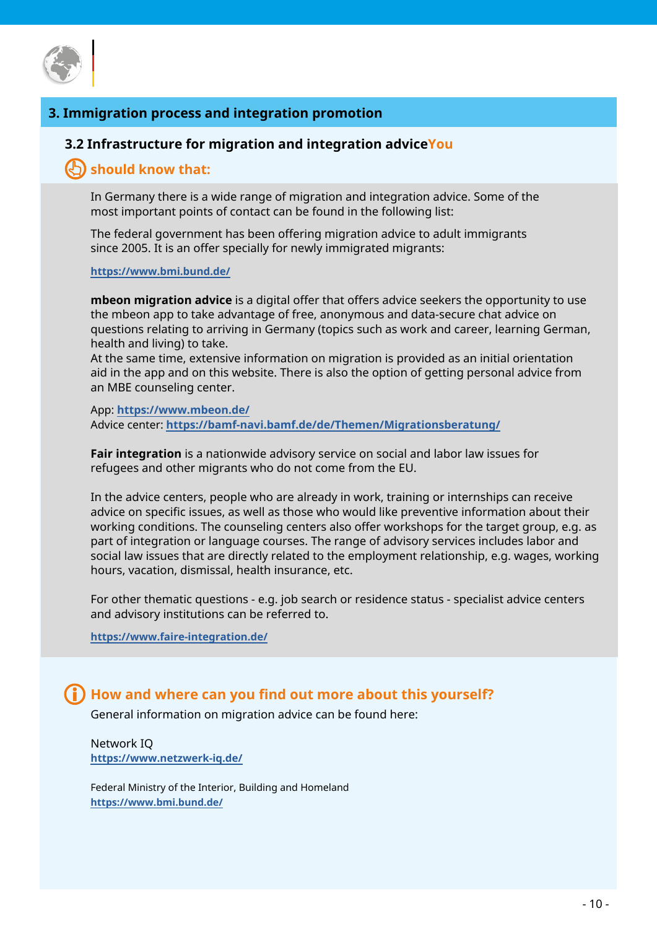

## **3. Immigration process and integration promotion**

#### **3.2 Infrastructure for migration and integration adviceYou**

# **should know that:**

In Germany there is a wide range of migration and integration advice. Some of the most important points of contact can be found in the following list:

The federal government has been offering migration advice to adult immigrants since 2005. It is an offer specially for newly immigrated migrants:

#### **[https://www.bmi.bund.de/](https://www.bmi.bund.de/DE/themen/heimat-integration/integration/migrationsberatung/migrationsberatu)**

**mbeon migration advice** is a digital offer that offers advice seekers the opportunity to use the mbeon app to take advantage of free, anonymous and data-secure chat advice on questions relating to arriving in Germany (topics such as work and career, learning German, health and living) to take.

At the same time, extensive information on migration is provided as an initial orientation aid in the app and on this website. There is also the option of getting personal advice from an MBE counseling center.

#### App: **[https://www.mbeon.de/](https://www.mbeon.de/home/)** Advice center: **ht[tps://bamf-navi.bamf.de/de/Themen/Migrationsberatung/](https://bamf-navi.bamf.de/de/Themen/Migrationsberatung/)**

**Fair integration** is a nationwide advisory service on social and labor law issues for refugees and other migrants who do not come from the EU.

In the advice centers, people who are already in work, training or internships can receive advice on specific issues, as well as those who would like preventive information about their working conditions. The counseling centers also offer workshops for the target group, e.g. as part of integration or language courses. The range of advisory services includes labor and social law issues that are directly related to the employment relationship, e.g. wages, working hours, vacation, dismissal, health insurance, etc.

For other thematic questions - e.g. job search or residence status - specialist advice centers and advisory institutions can be referred to.

**[https://www.faire-integration.de/](https://www.faire-integration.de/de/topic/11.beratungsstellen.html )**

## **How and where can you find out more about this yourself?**

General information on migration advice can be found here:

Network IQ **[https://www.netzwerk-iq.de/](https://www.netzwerk-iq.de/angebote/arbeitsmarktlexikon/single-ansicht/migrationsberatung-fuer-erwac)**

Federal Ministry of the Interior, Building and Homeland **[https://www.bmi.bund.de/](https://www.bmi.bund.de/DE/themen/heimat-integration/integration/migrationsberatung/migrationsberatu)**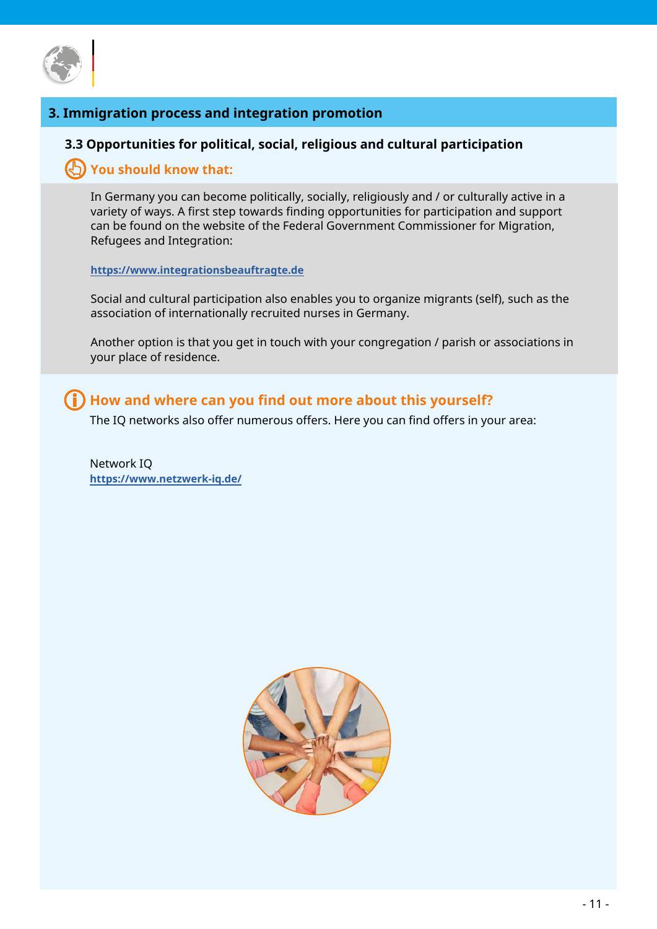

# **3. Immigration process and integration promotion**

#### **3.3 Opportunities for political, social, religious and cultural participation**

## **You should know that:**

In Germany you can become politically, socially, religiously and / or culturally active in a variety of ways. A first step towards finding opportunities for participation and support can be found on the website of the Federal Government Commissioner for Migration, Refugees and Integration:

#### **[https://www.integrationsbeauftragte.de](https://www.integrationsbeauftragte.de/ib-de)**

Social and cultural participation also enables you to organize migrants (self), such as the association of internationally recruited nurses in Germany.

Another option is that you get in touch with your congregation / parish or associations in your place of residence.

# **How and where can you find out more about this yourself?**

The IQ networks also offer numerous offers. Here you can find offers in your area:

Network IQ **[https://www.netzwerk-iq.de/](https://www.netzwerk-iq.de/foerderprogramm-iq/landesnetzwerke/karte)**

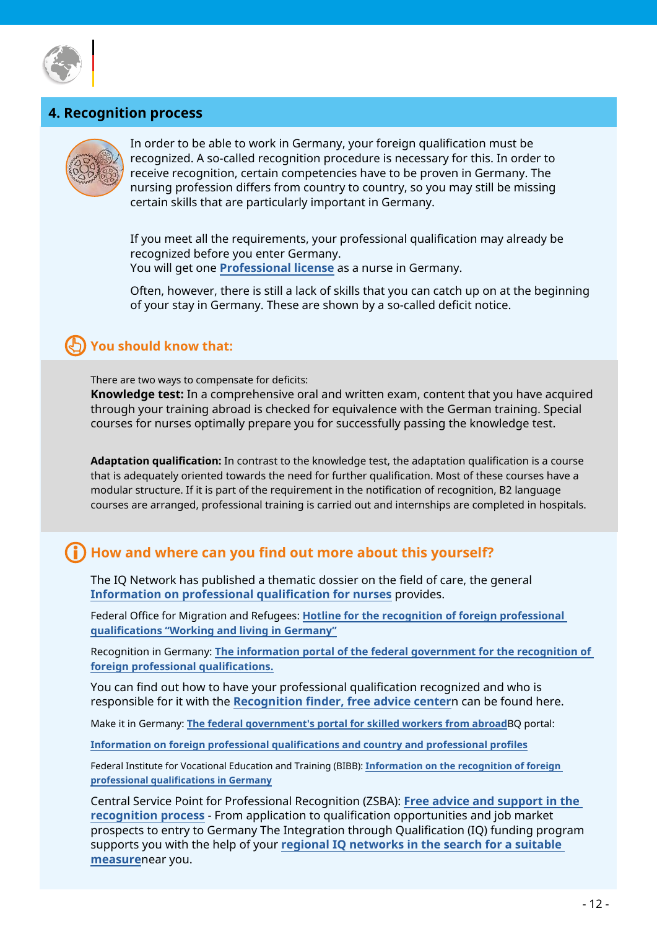

# **4. Recognition process**



In order to be able to work in Germany, your foreign qualification must be recognized. A so-called recognition procedure is necessary for this. In order to receive recognition, certain competencies have to be proven in Germany. The nursing profession differs from country to country, so you may still be missing certain skills that are particularly important in Germany.

If you meet all the requirements, your professional qualification may already be recognized before you enter Germany. You will get one **[Professional license](https://www.make-it-in-germany.com/de/ueber-das-portal/glossar/glossar/do/show/berufsausuebungserlaubnis)** as a nurse in Germany.

Often, however, there is still a lack of skills that you can catch up on at the beginning of your stay in Germany. These are shown by a so-called deficit notice.

# **You should know that:**

There are two ways to compensate for deficits:

**Knowledge test:** In a comprehensive oral and written exam, content that you have acquired through your training abroad is checked for equivalence with the German training. Special courses for nurses optimally prepare you for successfully passing the knowledge test.

**Adaptation qualification:** In contrast to the knowledge test, the adaptation qualification is a course that is adequately oriented towards the need for further qualification. Most of these courses have a modular structure. If it is part of the requirement in the notification of recognition, B2 language courses are arranged, professional training is carried out and internships are completed in hospitals.

# **How and where can you find out more about this yourself?**

The IQ Network has published a thematic dossier on the field of care, the general **[Information on professional qualification for nurses](https://www.netzwerk-iq.de/fileadmin/Redaktion/Downloads/IQ_Publikationen/Allgemeine_Publikationen/IQ_Themendossier_Pflege_DE.pdf)** provides.

Federal Office for Migration and Refugees: **Ho[tline for the recognition of foreign professional](https://www.bamf.de/DE/Themen/Integration/ZugewanderteTeilnehmende/AnerkennungBerufsabschluesse/anerkennungberufsabschluesse-node.html)  [qualifications "Working and living in Germany"](https://www.bamf.de/DE/Themen/Integration/ZugewanderteTeilnehmende/AnerkennungBerufsabschluesse/anerkennungberufsabschluesse-node.html)**

Recognition in Germany: **The inf[ormation portal of the federal government for the recognition of](https://www.anerkennung-in-deutschland.de/html/de/index.php)  [foreign professional qualifications.](https://www.anerkennung-in-deutschland.de/html/de/index.php)**

You can find out how to have your professional qualification recognized and who is responsible for it with the **[Recognition finder, free advice center](https://www.anerkennung-in-deutschland.de/html/de/beratung.php)**n can be found here.

Make it in Germany: **Th[e federal government's portal for skilled workers from abroad](https://www.make-it-in-germany.com/de/)**BQ portal:

**Informatio[n on foreign professional qualifications and country and professional profiles](http://Informationen zu ausländischen Berufsqualifikationen und Länder- und Berufsprofilen )**

Federal Institute for Vocational Education and Training (BIBB): **[Information on the recognition of foreign](http://Informationen zur Anerkennung ausländischer Berufsqualifikationen in Deutschland   )  [professional qualifications in Germany](http://Informationen zur Anerkennung ausländischer Berufsqualifikationen in Deutschland   )**

Central Service Point for Professional Recognition (ZSBA): **[Free advice and support in the](http://Kostenfreie Beratung und Unterstützung im Anerkennungsverfahren)  [recognition process](http://Kostenfreie Beratung und Unterstützung im Anerkennungsverfahren)** - From application to qualification opportunities and job market prospects to entry to Germany The Integration through Qualification (IQ) funding program supports you with the help of your **regional I[Q networks in the search for a suitable](https://www.netzwerk-iq.de/foerderprogramm-iq/landesnetzwerke/karte)  measure**[near you.](https://www.netzwerk-iq.de/foerderprogramm-iq/landesnetzwerke/karte)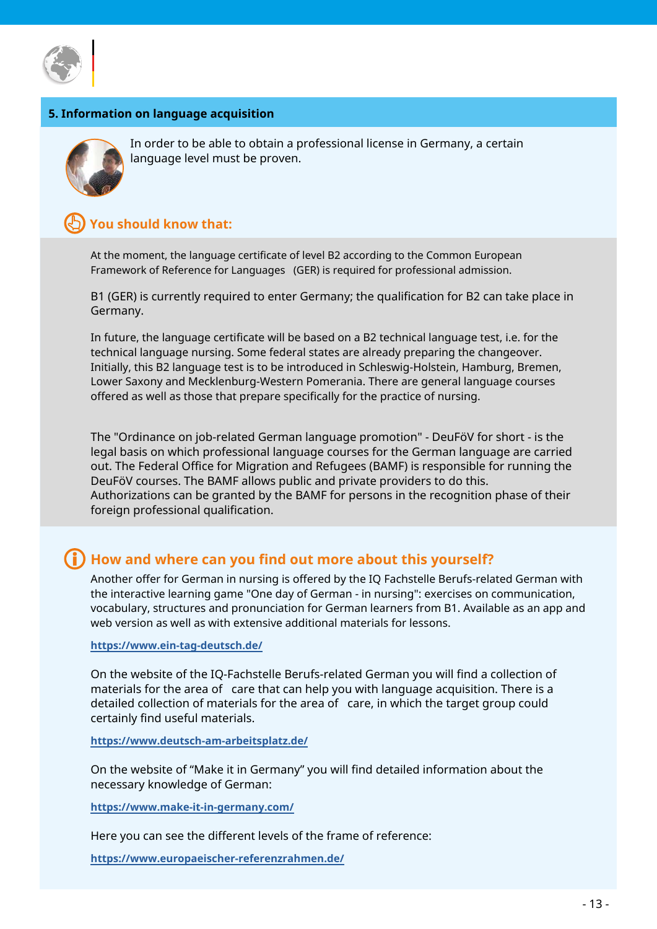

#### **5. Information on language acquisition**



In order to be able to obtain a professional license in Germany, a certain language level must be proven.

## **You should know that:**

At the moment, the language certificate of level B2 according to the Common European Framework of Reference for Languages (GER) is required for professional admission.

B1 (GER) is currently required to enter Germany; the qualification for B2 can take place in Germany.

In future, the language certificate will be based on a B2 technical language test, i.e. for the technical language nursing. Some federal states are already preparing the changeover. Initially, this B2 language test is to be introduced in Schleswig-Holstein, Hamburg, Bremen, Lower Saxony and Mecklenburg-Western Pomerania. There are general language courses offered as well as those that prepare specifically for the practice of nursing.

The "Ordinance on job-related German language promotion" - DeuFöV for short - is the legal basis on which professional language courses for the German language are carried out. The Federal Office for Migration and Refugees (BAMF) is responsible for running the DeuFöV courses. The BAMF allows public and private providers to do this. Authorizations can be granted by the BAMF for persons in the recognition phase of their foreign professional qualification.

# **How and where can you find out more about this yourself?**

Another offer for German in nursing is offered by the IQ Fachstelle Berufs-related German with the interactive learning game "One day of German - in nursing": exercises on communication, vocabulary, structures and pronunciation for German learners from B1. Available as an app and web version as well as with extensive additional materials for lessons.

**<https://www.ein-tag-deutsch.de/>**

On the website of the IQ-Fachstelle Berufs-related German you will find a collection of materials for the area of care that can help you with language acquisition. There is a detailed collection of materials for the area of care, in which the target group could certainly find useful materials.

**[https://www.deutsch-am-arbeitsplatz.de/](https://www.deutsch-am-arbeitsplatz.de/materialsammlung/materialsammlung-pflege.html )**

On the website of "Make it in Germany" you will find detailed information about the necessary knowledge of German:

**[https://www.make-it-in-germany.com/](https://www.make-it-in-germany.com/de/leben-in-deutschland/deutsch/deutschkenntnisse)**

Here you can see the different levels of the frame of reference:

**[https://www.europaeischer-referenzrahmen.de/](https://www.europaeischer-referenzrahmen.de/  )**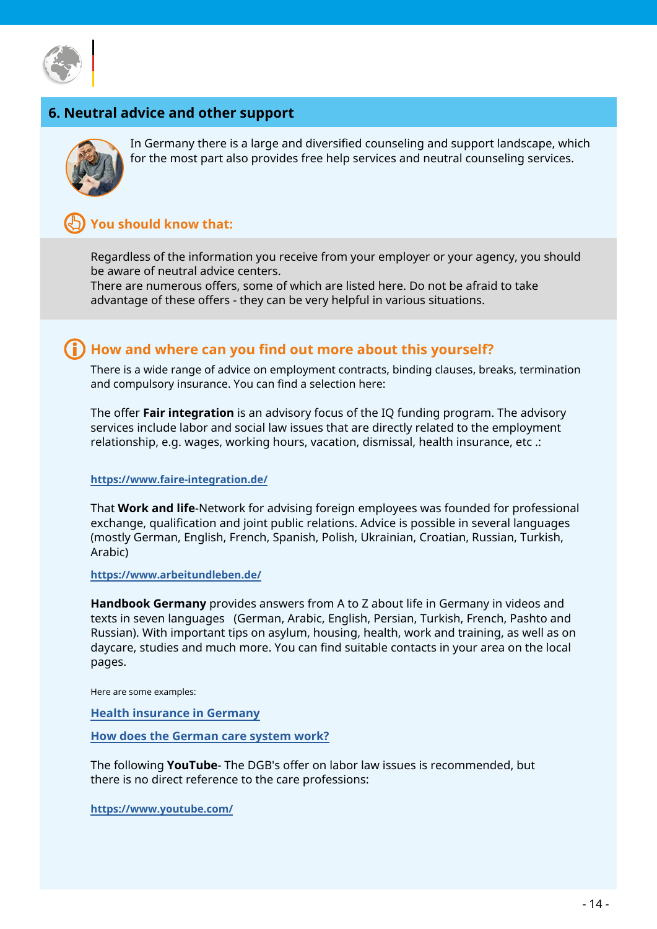

# **6. Neutral advice and other support**



In Germany there is a large and diversified counseling and support landscape, which for the most part also provides free help services and neutral counseling services.

## **You should know that:**

Regardless of the information you receive from your employer or your agency, you should be aware of neutral advice centers.

There are numerous offers, some of which are listed here. Do not be afraid to take advantage of these offers - they can be very helpful in various situations.

# **How and where can you find out more about this yourself?**

There is a wide range of advice on employment contracts, binding clauses, breaks, termination and compulsory insurance. You can find a selection here:

The offer **Fair integration** is an advisory focus of the IQ funding program. The advisory services include labor and social law issues that are directly related to the employment relationship, e.g. wages, working hours, vacation, dismissal, health insurance, etc .:

**[https://www.faire-integration.de/](https://www.faire-integration.de/de/topic/11.beratungsstellen.html)**

That **Work and life**-Network for advising foreign employees was founded for professional exchange, qualification and joint public relations. Advice is possible in several languages (mostly German, English, French, Spanish, Polish, Ukrainian, Croatian, Russian, Turkish, Arabic)

**<https://www.arbeitundleben.de/>**

**Handbook Germany** provides answers from A to Z about life in Germany in videos and texts in seven languages (German, Arabic, English, Persian, Turkish, French, Pashto and Russian). With important tips on asylum, housing, health, work and training, as well as on daycare, studies and much more. You can find suitable contacts in your area on the local pages.

Here are some examples:

**[Health insurance in Germany](https://handbookgermany.de/de/videos/explainer-videos/health-insurance.html)**

**[How does the German care system work?](https://handbookgermany.de/de/videos/explainer-videos/nursing-care.html)**

The following **YouTube**- The DGB's offer on labor law issues is recommended, but there is no direct reference to the care professions:

**[https://www.youtube.com/]( https://www.youtube.com/playlist?list=PLT4Qb-HVunPkbxNfztT3S07A706oizKQ0 )**